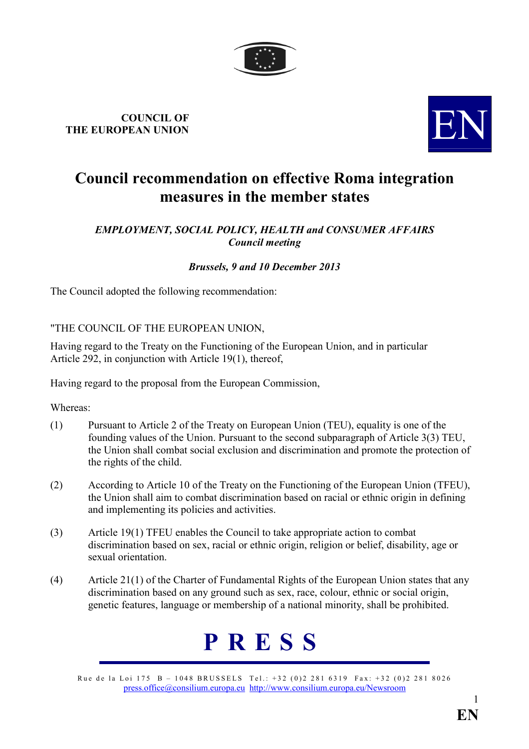

## **COUNCIL OF THE EUROPEAN UNION**



### **Council recommendation on effective Roma integration measures in the member states**

#### **EMPLOYMENT, SOCIAL POLICY, HEALTH and CONSUMER AFFAIRS** *Council meeting*

#### *Brussels, 9 and 10 December 2013*

The Council adopted the following recommendation:

#### "THE COUNCIL OF THE EUROPEAN UNION,

Having regard to the Treaty on the Functioning of the European Union, and in particular Article 292, in conjunction with Article 19(1), thereof,

Having regard to the proposal from the European Commission,

#### Whereas:

- (1) Pursuant to Article 2 of the Treaty on European Union (TEU), equality is one of the founding values of the Union. Pursuant to the second subparagraph of Article 3(3) TEU, the Union shall combat social exclusion and discrimination and promote the protection of the rights of the child.
- (2) According to Article 10 of the Treaty on the Functioning of the European Union (TFEU), the Union shall aim to combat discrimination based on racial or ethnic origin in defining and implementing its policies and activities.
- (3) Article 19(1) TFEU enables the Council to take appropriate action to combat discrimination based on sex, racial or ethnic origin, religion or belief, disability, age or sexual orientation.
- (4) Article 21(1) of the Charter of Fundamental Rights of the European Union states that any discrimination based on any ground such as sex, race, colour, ethnic or social origin, genetic features, language or membership of a national minority, shall be prohibited.

# **P R E S S**

Rue de la Loi 175 B – 1048 BRUSSELS Tel.: +32 (0)2 281 6319 Fax: +32 (0)2 281 8026 [press.office@consilium.europa.eu](mailto:press.office@consilium.eu.int) [http://www.consilium.europa.eu/Newsroom](http://ue.eu.int/Newsroom)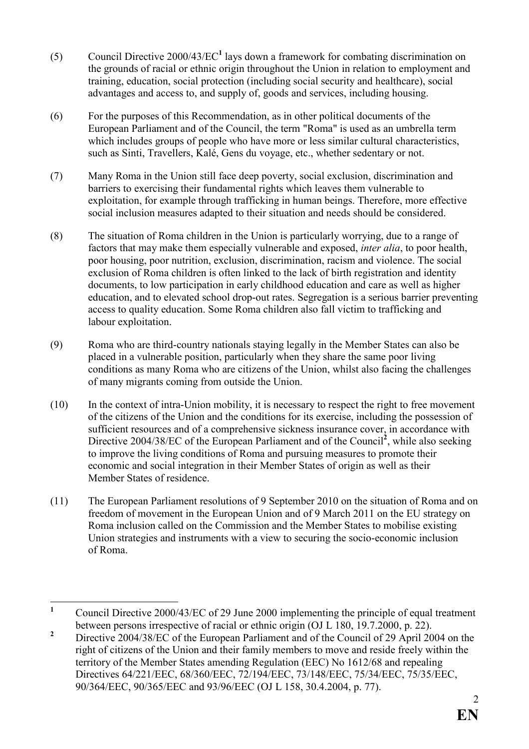- (5) Council Directive 2000/43/EC**<sup>1</sup>** lays down a framework for combating discrimination on the grounds of racial or ethnic origin throughout the Union in relation to employment and training, education, social protection (including social security and healthcare), social advantages and access to, and supply of, goods and services, including housing.
- (6) For the purposes of this Recommendation, as in other political documents of the European Parliament and of the Council, the term "Roma" is used as an umbrella term which includes groups of people who have more or less similar cultural characteristics, such as Sinti, Travellers, Kalé, Gens du voyage, etc., whether sedentary or not.
- (7) Many Roma in the Union still face deep poverty, social exclusion, discrimination and barriers to exercising their fundamental rights which leaves them vulnerable to exploitation, for example through trafficking in human beings. Therefore, more effective social inclusion measures adapted to their situation and needs should be considered.
- (8) The situation of Roma children in the Union is particularly worrying, due to a range of factors that may make them especially vulnerable and exposed, *inter alia*, to poor health, poor housing, poor nutrition, exclusion, discrimination, racism and violence. The social exclusion of Roma children is often linked to the lack of birth registration and identity documents, to low participation in early childhood education and care as well as higher education, and to elevated school drop-out rates. Segregation is a serious barrier preventing access to quality education. Some Roma children also fall victim to trafficking and labour exploitation.
- (9) Roma who are third-country nationals staying legally in the Member States can also be placed in a vulnerable position, particularly when they share the same poor living conditions as many Roma who are citizens of the Union, whilst also facing the challenges of many migrants coming from outside the Union.
- (10) In the context of intra-Union mobility, it is necessary to respect the right to free movement of the citizens of the Union and the conditions for its exercise, including the possession of sufficient resources and of a comprehensive sickness insurance cover, in accordance with Directive 2004/38/EC of the European Parliament and of the Council<sup>2</sup>, while also seeking to improve the living conditions of Roma and pursuing measures to promote their economic and social integration in their Member States of origin as well as their Member States of residence.
- (11) The European Parliament resolutions of 9 September 2010 on the situation of Roma and on freedom of movement in the European Union and of 9 March 2011 on the EU strategy on Roma inclusion called on the Commission and the Member States to mobilise existing Union strategies and instruments with a view to securing the socio-economic inclusion of Roma.

 **1** Council Directive 2000/43/EC of 29 June 2000 implementing the principle of equal treatment between persons irrespective of racial or ethnic origin (OJ L 180, 19.7.2000, p. 22).

**<sup>2</sup>** Directive 2004/38/EC of the European Parliament and of the Council of 29 April 2004 on the right of citizens of the Union and their family members to move and reside freely within the territory of the Member States amending Regulation (EEC) No 1612/68 and repealing Directives 64/221/EEC, 68/360/EEC, 72/194/EEC, 73/148/EEC, 75/34/EEC, 75/35/EEC, 90/364/EEC, 90/365/EEC and 93/96/EEC (OJ L 158, 30.4.2004, p. 77).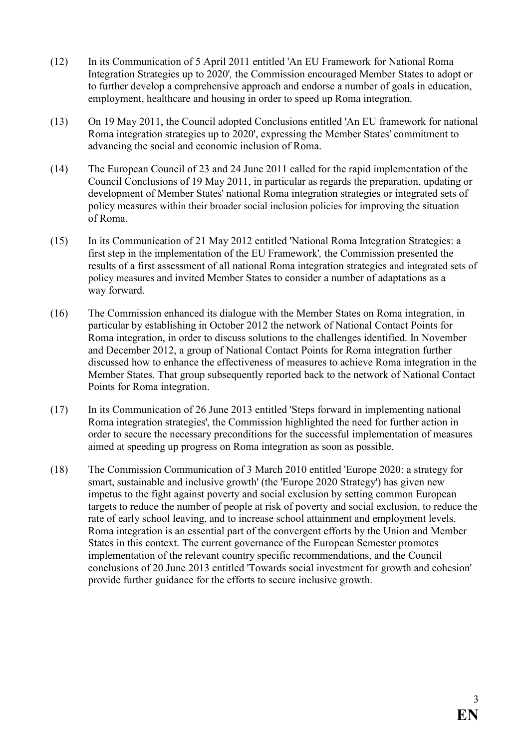- (12) In its Communication of 5 April 2011 entitled 'An EU Framework for National Roma Integration Strategies up to 2020'*,* the Commission encouraged Member States to adopt or to further develop a comprehensive approach and endorse a number of goals in education, employment, healthcare and housing in order to speed up Roma integration.
- (13) On 19 May 2011, the Council adopted Conclusions entitled 'An EU framework for national Roma integration strategies up to 2020', expressing the Member States' commitment to advancing the social and economic inclusion of Roma.
- (14) The European Council of 23 and 24 June 2011 called for the rapid implementation of the Council Conclusions of 19 May 2011, in particular as regards the preparation, updating or development of Member States' national Roma integration strategies or integrated sets of policy measures within their broader social inclusion policies for improving the situation of Roma.
- (15) In its Communication of 21 May 2012 entitled 'National Roma Integration Strategies: a first step in the implementation of the EU Framework'*,* the Commission presented the results of a first assessment of all national Roma integration strategies and integrated sets of policy measures and invited Member States to consider a number of adaptations as a way forward.
- (16) The Commission enhanced its dialogue with the Member States on Roma integration, in particular by establishing in October 2012 the network of National Contact Points for Roma integration, in order to discuss solutions to the challenges identified. In November and December 2012, a group of National Contact Points for Roma integration further discussed how to enhance the effectiveness of measures to achieve Roma integration in the Member States. That group subsequently reported back to the network of National Contact Points for Roma integration.
- (17) In its Communication of 26 June 2013 entitled 'Steps forward in implementing national Roma integration strategies', the Commission highlighted the need for further action in order to secure the necessary preconditions for the successful implementation of measures aimed at speeding up progress on Roma integration as soon as possible.
- (18) The Commission Communication of 3 March 2010 entitled 'Europe 2020: a strategy for smart, sustainable and inclusive growth' (the 'Europe 2020 Strategy') has given new impetus to the fight against poverty and social exclusion by setting common European targets to reduce the number of people at risk of poverty and social exclusion, to reduce the rate of early school leaving, and to increase school attainment and employment levels. Roma integration is an essential part of the convergent efforts by the Union and Member States in this context. The current governance of the European Semester promotes implementation of the relevant country specific recommendations, and the Council conclusions of 20 June 2013 entitled 'Towards social investment for growth and cohesion' provide further guidance for the efforts to secure inclusive growth.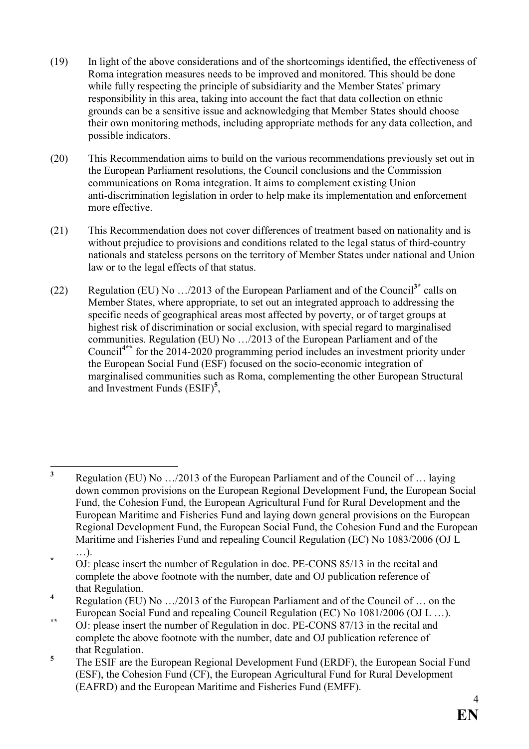- (19) In light of the above considerations and of the shortcomings identified, the effectiveness of Roma integration measures needs to be improved and monitored. This should be done while fully respecting the principle of subsidiarity and the Member States' primary responsibility in this area, taking into account the fact that data collection on ethnic grounds can be a sensitive issue and acknowledging that Member States should choose their own monitoring methods, including appropriate methods for any data collection, and possible indicators.
- (20) This Recommendation aims to build on the various recommendations previously set out in the European Parliament resolutions, the Council conclusions and the Commission communications on Roma integration. It aims to complement existing Union anti-discrimination legislation in order to help make its implementation and enforcement more effective.
- (21) This Recommendation does not cover differences of treatment based on nationality and is without prejudice to provisions and conditions related to the legal status of third-country nationals and stateless persons on the territory of Member States under national and Union law or to the legal effects of that status.
- (22) Regulation (EU) No …/2013 of the European Parliament and of the Council**3\*** calls on Member States, where appropriate, to set out an integrated approach to addressing the specific needs of geographical areas most affected by poverty, or of target groups at highest risk of discrimination or social exclusion, with special regard to marginalised communities. Regulation (EU) No …/2013 of the European Parliament and of the Council**4\*\*** for the 2014-2020 programming period includes an investment priority under the European Social Fund (ESF) focused on the socio-economic integration of marginalised communities such as Roma, complementing the other European Structural and Investment Funds (ESIF)**<sup>5</sup>** ,

**5** The ESIF are the European Regional Development Fund (ERDF), the European Social Fund (ESF), the Cohesion Fund (CF), the European Agricultural Fund for Rural Development (EAFRD) and the European Maritime and Fisheries Fund (EMFF).

 **3** Regulation (EU) No …/2013 of the European Parliament and of the Council of … laying down common provisions on the European Regional Development Fund, the European Social Fund, the Cohesion Fund, the European Agricultural Fund for Rural Development and the European Maritime and Fisheries Fund and laying down general provisions on the European Regional Development Fund, the European Social Fund, the Cohesion Fund and the European Maritime and Fisheries Fund and repealing Council Regulation (EC) No 1083/2006 (OJ L …).

**<sup>\*</sup>** OJ: please insert the number of Regulation in doc. PE-CONS 85/13 in the recital and complete the above footnote with the number, date and OJ publication reference of that Regulation.

**<sup>4</sup>** Regulation (EU) No …/2013 of the European Parliament and of the Council of … on the European Social Fund and repealing Council Regulation (EC) No 1081/2006 (OJ L …).

<sup>&</sup>lt;sup>\*\*</sup> OJ: please insert the number of Regulation in doc. PE-CONS 87/13 in the recital and complete the above footnote with the number, date and OJ publication reference of that Regulation.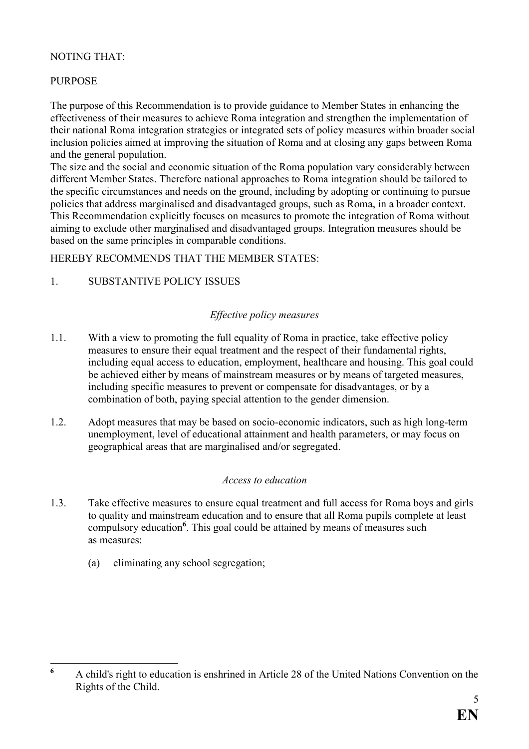#### NOTING THAT:

#### PURPOSE

The purpose of this Recommendation is to provide guidance to Member States in enhancing the effectiveness of their measures to achieve Roma integration and strengthen the implementation of their national Roma integration strategies or integrated sets of policy measures within broader social inclusion policies aimed at improving the situation of Roma and at closing any gaps between Roma and the general population.

The size and the social and economic situation of the Roma population vary considerably between different Member States. Therefore national approaches to Roma integration should be tailored to the specific circumstances and needs on the ground, including by adopting or continuing to pursue policies that address marginalised and disadvantaged groups, such as Roma, in a broader context. This Recommendation explicitly focuses on measures to promote the integration of Roma without aiming to exclude other marginalised and disadvantaged groups. Integration measures should be based on the same principles in comparable conditions.

HEREBY RECOMMENDS THAT THE MEMBER STATES:

#### 1. SUBSTANTIVE POLICY ISSUES

#### *Effective policy measures*

- 1.1. With a view to promoting the full equality of Roma in practice, take effective policy measures to ensure their equal treatment and the respect of their fundamental rights, including equal access to education, employment, healthcare and housing. This goal could be achieved either by means of mainstream measures or by means of targeted measures, including specific measures to prevent or compensate for disadvantages, or by a combination of both, paying special attention to the gender dimension.
- 1.2. Adopt measures that may be based on socio-economic indicators, such as high long-term unemployment, level of educational attainment and health parameters, or may focus on geographical areas that are marginalised and/or segregated.

#### *Access to education*

- 1.3. Take effective measures to ensure equal treatment and full access for Roma boys and girls to quality and mainstream education and to ensure that all Roma pupils complete at least compulsory education<sup>6</sup>. This goal could be attained by means of measures such as measures:
	- (a) eliminating any school segregation;

 **6** A child's right to education is enshrined in Article 28 of the United Nations Convention on the Rights of the Child.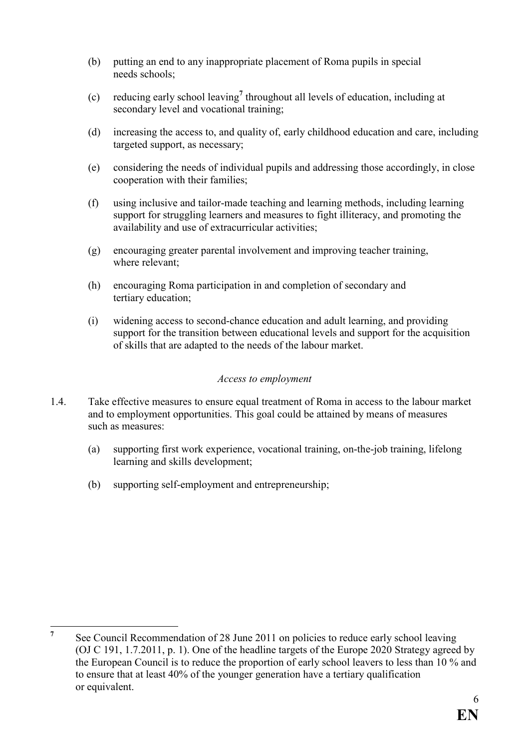- (b) putting an end to any inappropriate placement of Roma pupils in special needs schools;
- (c) reducing early school leaving**<sup>7</sup>** throughout all levels of education, including at secondary level and vocational training;
- (d) increasing the access to, and quality of, early childhood education and care, including targeted support, as necessary;
- (e) considering the needs of individual pupils and addressing those accordingly, in close cooperation with their families;
- (f) using inclusive and tailor-made teaching and learning methods, including learning support for struggling learners and measures to fight illiteracy, and promoting the availability and use of extracurricular activities;
- (g) encouraging greater parental involvement and improving teacher training, where relevant;
- (h) encouraging Roma participation in and completion of secondary and tertiary education;
- (i) widening access to second-chance education and adult learning, and providing support for the transition between educational levels and support for the acquisition of skills that are adapted to the needs of the labour market.

#### *Access to employment*

- 1.4. Take effective measures to ensure equal treatment of Roma in access to the labour market and to employment opportunities. This goal could be attained by means of measures such as measures:
	- (a) supporting first work experience, vocational training, on-the-job training, lifelong learning and skills development;
	- (b) supporting self-employment and entrepreneurship;

 **7** See Council Recommendation of 28 June 2011 on policies to reduce early school leaving (OJ C 191, 1.7.2011, p. 1). One of the headline targets of the Europe 2020 Strategy agreed by the European Council is to reduce the proportion of early school leavers to less than 10 % and to ensure that at least 40% of the younger generation have a tertiary qualification or equivalent.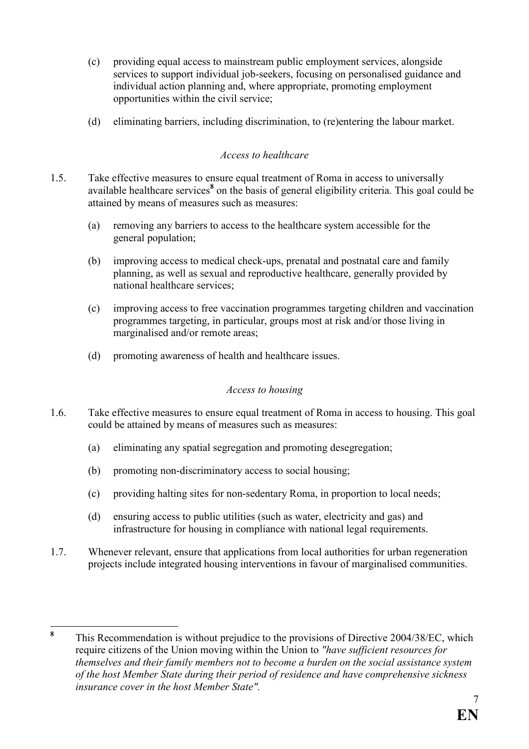- (c) providing equal access to mainstream public employment services, alongside services to support individual job-seekers, focusing on personalised guidance and individual action planning and, where appropriate, promoting employment opportunities within the civil service;
- (d) eliminating barriers, including discrimination, to (re)entering the labour market.

#### *Access to healthcare*

- 1.5. Take effective measures to ensure equal treatment of Roma in access to universally available healthcare services<sup>8</sup> on the basis of general eligibility criteria. This goal could be attained by means of measures such as measures:
	- (a) removing any barriers to access to the healthcare system accessible for the general population;
	- (b) improving access to medical check-ups, prenatal and postnatal care and family planning, as well as sexual and reproductive healthcare, generally provided by national healthcare services;
	- (c) improving access to free vaccination programmes targeting children and vaccination programmes targeting, in particular, groups most at risk and/or those living in marginalised and/or remote areas;
	- (d) promoting awareness of health and healthcare issues.

#### *Access to housing*

- 1.6. Take effective measures to ensure equal treatment of Roma in access to housing. This goal could be attained by means of measures such as measures:
	- (a) eliminating any spatial segregation and promoting desegregation;
	- (b) promoting non-discriminatory access to social housing;
	- (c) providing halting sites for non-sedentary Roma, in proportion to local needs;
	- (d) ensuring access to public utilities (such as water, electricity and gas) and infrastructure for housing in compliance with national legal requirements.
- 1.7. Whenever relevant, ensure that applications from local authorities for urban regeneration projects include integrated housing interventions in favour of marginalised communities.

 **8** This Recommendation is without prejudice to the provisions of Directive 2004/38/EC, which require citizens of the Union moving within the Union to *"have sufficient resources for themselves and their family members not to become a burden on the social assistance system of the host Member State during their period of residence and have comprehensive sickness insurance cover in the host Member State".*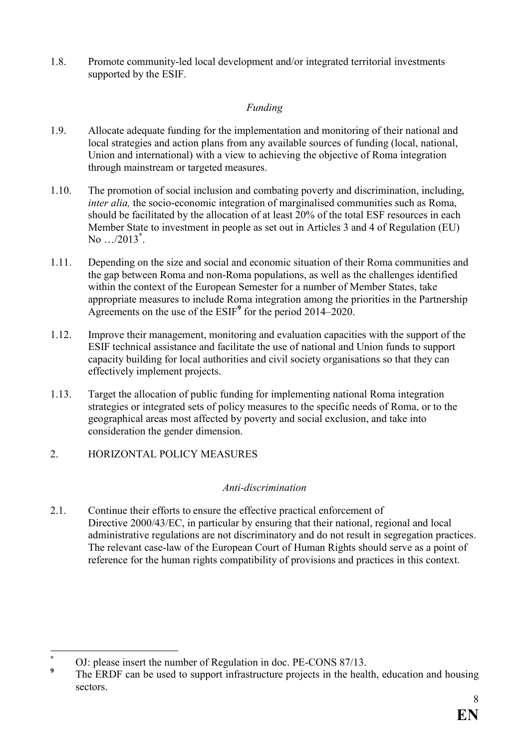1.8. Promote community-led local development and/or integrated territorial investments supported by the ESIF.

#### *Funding*

- 1.9. Allocate adequate funding for the implementation and monitoring of their national and local strategies and action plans from any available sources of funding (local, national, Union and international) with a view to achieving the objective of Roma integration through mainstream or targeted measures.
- 1.10. The promotion of social inclusion and combating poverty and discrimination, including, *inter alia,* the socio-economic integration of marginalised communities such as Roma, should be facilitated by the allocation of at least 20% of the total ESF resources in each Member State to investment in people as set out in Articles 3 and 4 of Regulation (EU) No …/2013**\*** .
- 1.11. Depending on the size and social and economic situation of their Roma communities and the gap between Roma and non-Roma populations, as well as the challenges identified within the context of the European Semester for a number of Member States, take appropriate measures to include Roma integration among the priorities in the Partnership Agreements on the use of the ESIF**<sup>9</sup>** for the period 2014–2020.
- 1.12. Improve their management, monitoring and evaluation capacities with the support of the ESIF technical assistance and facilitate the use of national and Union funds to support capacity building for local authorities and civil society organisations so that they can effectively implement projects.
- 1.13. Target the allocation of public funding for implementing national Roma integration strategies or integrated sets of policy measures to the specific needs of Roma, or to the geographical areas most affected by poverty and social exclusion, and take into consideration the gender dimension.
- 2. HORIZONTAL POLICY MEASURES

#### *Anti-discrimination*

2.1. Continue their efforts to ensure the effective practical enforcement of Directive 2000/43/EC, in particular by ensuring that their national, regional and local administrative regulations are not discriminatory and do not result in segregation practices. The relevant case-law of the European Court of Human Rights should serve as a point of reference for the human rights compatibility of provisions and practices in this context.

 $\overline{a}$ **\*** OJ: please insert the number of Regulation in doc. PE-CONS 87/13.

**<sup>9</sup>** The ERDF can be used to support infrastructure projects in the health, education and housing sectors.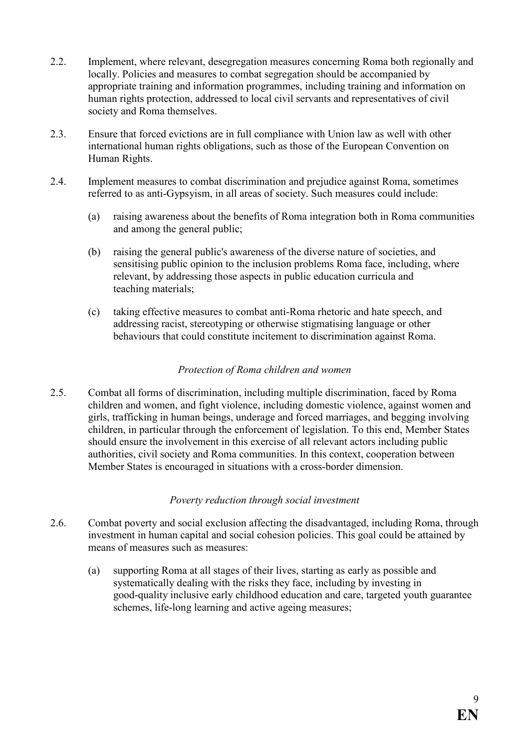- 2.2. Implement, where relevant, desegregation measures concerning Roma both regionally and locally. Policies and measures to combat segregation should be accompanied by appropriate training and information programmes, including training and information on human rights protection, addressed to local civil servants and representatives of civil society and Roma themselves.
- 2.3. Ensure that forced evictions are in full compliance with Union law as well with other international human rights obligations, such as those of the European Convention on Human Rights.
- 2.4. Implement measures to combat discrimination and prejudice against Roma, sometimes referred to as anti-Gypsyism, in all areas of society. Such measures could include:
	- (a) raising awareness about the benefits of Roma integration both in Roma communities and among the general public;
	- (b) raising the general public's awareness of the diverse nature of societies, and sensitising public opinion to the inclusion problems Roma face, including, where relevant, by addressing those aspects in public education curricula and teaching materials;
	- (c) taking effective measures to combat anti-Roma rhetoric and hate speech, and addressing racist, stereotyping or otherwise stigmatising language or other behaviours that could constitute incitement to discrimination against Roma.

#### *Protection of Roma children and women*

2.5. Combat all forms of discrimination, including multiple discrimination, faced by Roma children and women, and fight violence, including domestic violence, against women and girls, trafficking in human beings, underage and forced marriages, and begging involving children, in particular through the enforcement of legislation. To this end, Member States should ensure the involvement in this exercise of all relevant actors including public authorities, civil society and Roma communities. In this context, cooperation between Member States is encouraged in situations with a cross-border dimension.

#### *Poverty reduction through social investment*

- 2.6. Combat poverty and social exclusion affecting the disadvantaged, including Roma, through investment in human capital and social cohesion policies. This goal could be attained by means of measures such as measures:
	- (a) supporting Roma at all stages of their lives, starting as early as possible and systematically dealing with the risks they face, including by investing in good-quality inclusive early childhood education and care, targeted youth guarantee schemes, life-long learning and active ageing measures;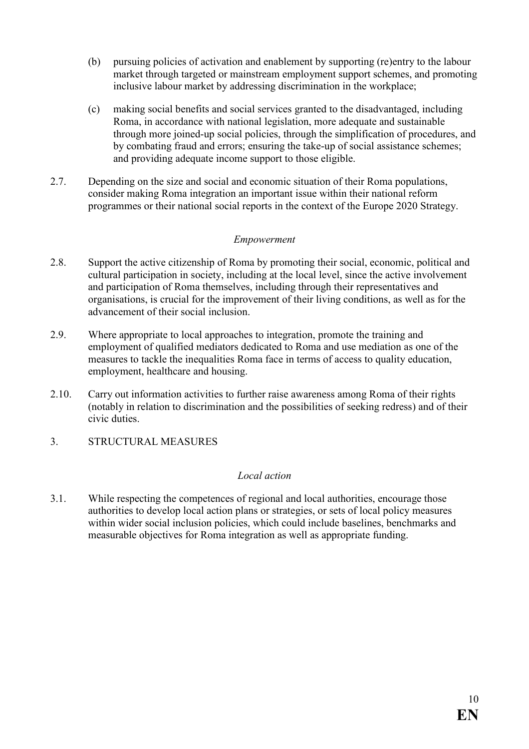- (b) pursuing policies of activation and enablement by supporting (re)entry to the labour market through targeted or mainstream employment support schemes, and promoting inclusive labour market by addressing discrimination in the workplace;
- (c) making social benefits and social services granted to the disadvantaged, including Roma, in accordance with national legislation, more adequate and sustainable through more joined-up social policies, through the simplification of procedures, and by combating fraud and errors; ensuring the take-up of social assistance schemes; and providing adequate income support to those eligible.
- 2.7. Depending on the size and social and economic situation of their Roma populations, consider making Roma integration an important issue within their national reform programmes or their national social reports in the context of the Europe 2020 Strategy.

#### *Empowerment*

- 2.8. Support the active citizenship of Roma by promoting their social, economic, political and cultural participation in society, including at the local level, since the active involvement and participation of Roma themselves, including through their representatives and organisations, is crucial for the improvement of their living conditions, as well as for the advancement of their social inclusion.
- 2.9. Where appropriate to local approaches to integration, promote the training and employment of qualified mediators dedicated to Roma and use mediation as one of the measures to tackle the inequalities Roma face in terms of access to quality education, employment, healthcare and housing.
- 2.10. Carry out information activities to further raise awareness among Roma of their rights (notably in relation to discrimination and the possibilities of seeking redress) and of their civic duties.
- 3. STRUCTURAL MEASURES

#### *Local action*

3.1. While respecting the competences of regional and local authorities, encourage those authorities to develop local action plans or strategies, or sets of local policy measures within wider social inclusion policies, which could include baselines, benchmarks and measurable objectives for Roma integration as well as appropriate funding.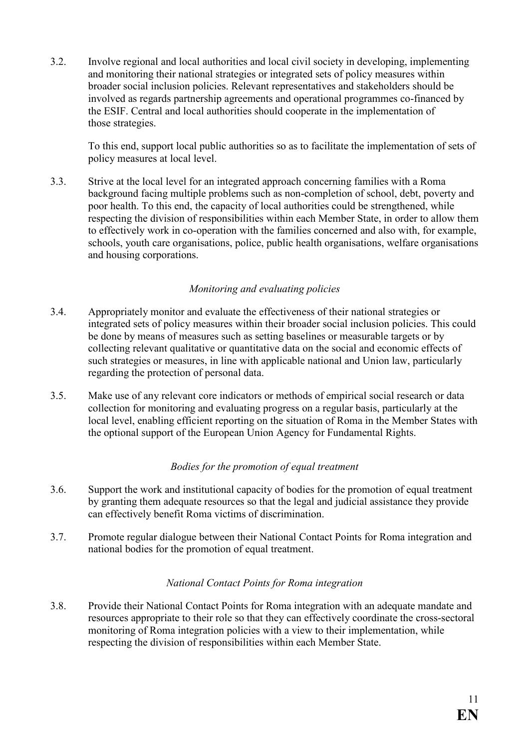3.2. Involve regional and local authorities and local civil society in developing, implementing and monitoring their national strategies or integrated sets of policy measures within broader social inclusion policies. Relevant representatives and stakeholders should be involved as regards partnership agreements and operational programmes co-financed by the ESIF. Central and local authorities should cooperate in the implementation of those strategies.

To this end, support local public authorities so as to facilitate the implementation of sets of policy measures at local level.

3.3. Strive at the local level for an integrated approach concerning families with a Roma background facing multiple problems such as non-completion of school, debt, poverty and poor health. To this end, the capacity of local authorities could be strengthened, while respecting the division of responsibilities within each Member State, in order to allow them to effectively work in co-operation with the families concerned and also with, for example, schools, youth care organisations, police, public health organisations, welfare organisations and housing corporations.

#### *Monitoring and evaluating policies*

- 3.4. Appropriately monitor and evaluate the effectiveness of their national strategies or integrated sets of policy measures within their broader social inclusion policies. This could be done by means of measures such as setting baselines or measurable targets or by collecting relevant qualitative or quantitative data on the social and economic effects of such strategies or measures, in line with applicable national and Union law, particularly regarding the protection of personal data.
- 3.5. Make use of any relevant core indicators or methods of empirical social research or data collection for monitoring and evaluating progress on a regular basis, particularly at the local level, enabling efficient reporting on the situation of Roma in the Member States with the optional support of the European Union Agency for Fundamental Rights.

#### *Bodies for the promotion of equal treatment*

- 3.6. Support the work and institutional capacity of bodies for the promotion of equal treatment by granting them adequate resources so that the legal and judicial assistance they provide can effectively benefit Roma victims of discrimination.
- 3.7. Promote regular dialogue between their National Contact Points for Roma integration and national bodies for the promotion of equal treatment.

#### *&ational Contact Points for Roma integration*

3.8. Provide their National Contact Points for Roma integration with an adequate mandate and resources appropriate to their role so that they can effectively coordinate the cross-sectoral monitoring of Roma integration policies with a view to their implementation, while respecting the division of responsibilities within each Member State.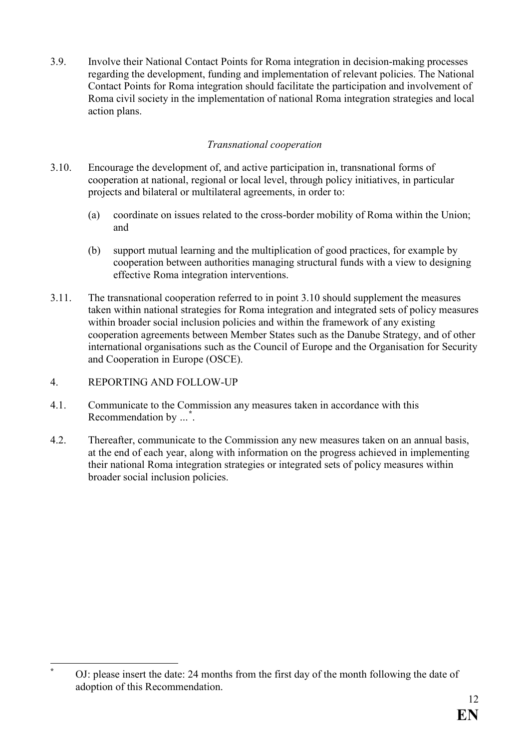3.9. Involve their National Contact Points for Roma integration in decision-making processes regarding the development, funding and implementation of relevant policies. The National Contact Points for Roma integration should facilitate the participation and involvement of Roma civil society in the implementation of national Roma integration strategies and local action plans.

#### *Transnational cooperation*

- 3.10. Encourage the development of, and active participation in, transnational forms of cooperation at national, regional or local level, through policy initiatives, in particular projects and bilateral or multilateral agreements, in order to:
	- (a) coordinate on issues related to the cross-border mobility of Roma within the Union; and
	- (b) support mutual learning and the multiplication of good practices, for example by cooperation between authorities managing structural funds with a view to designing effective Roma integration interventions.
- 3.11. The transnational cooperation referred to in point 3.10 should supplement the measures taken within national strategies for Roma integration and integrated sets of policy measures within broader social inclusion policies and within the framework of any existing cooperation agreements between Member States such as the Danube Strategy, and of other international organisations such as the Council of Europe and the Organisation for Security and Cooperation in Europe (OSCE).
- 4. REPORTING AND FOLLOW-UP

 $\overline{a}$ **\***

- 4.1. Communicate to the Commission any measures taken in accordance with this Recommendation by *…* **\*** .
- 4.2. Thereafter, communicate to the Commission any new measures taken on an annual basis, at the end of each year, along with information on the progress achieved in implementing their national Roma integration strategies or integrated sets of policy measures within broader social inclusion policies.

OJ: please insert the date: 24 months from the first day of the month following the date of adoption of this Recommendation.